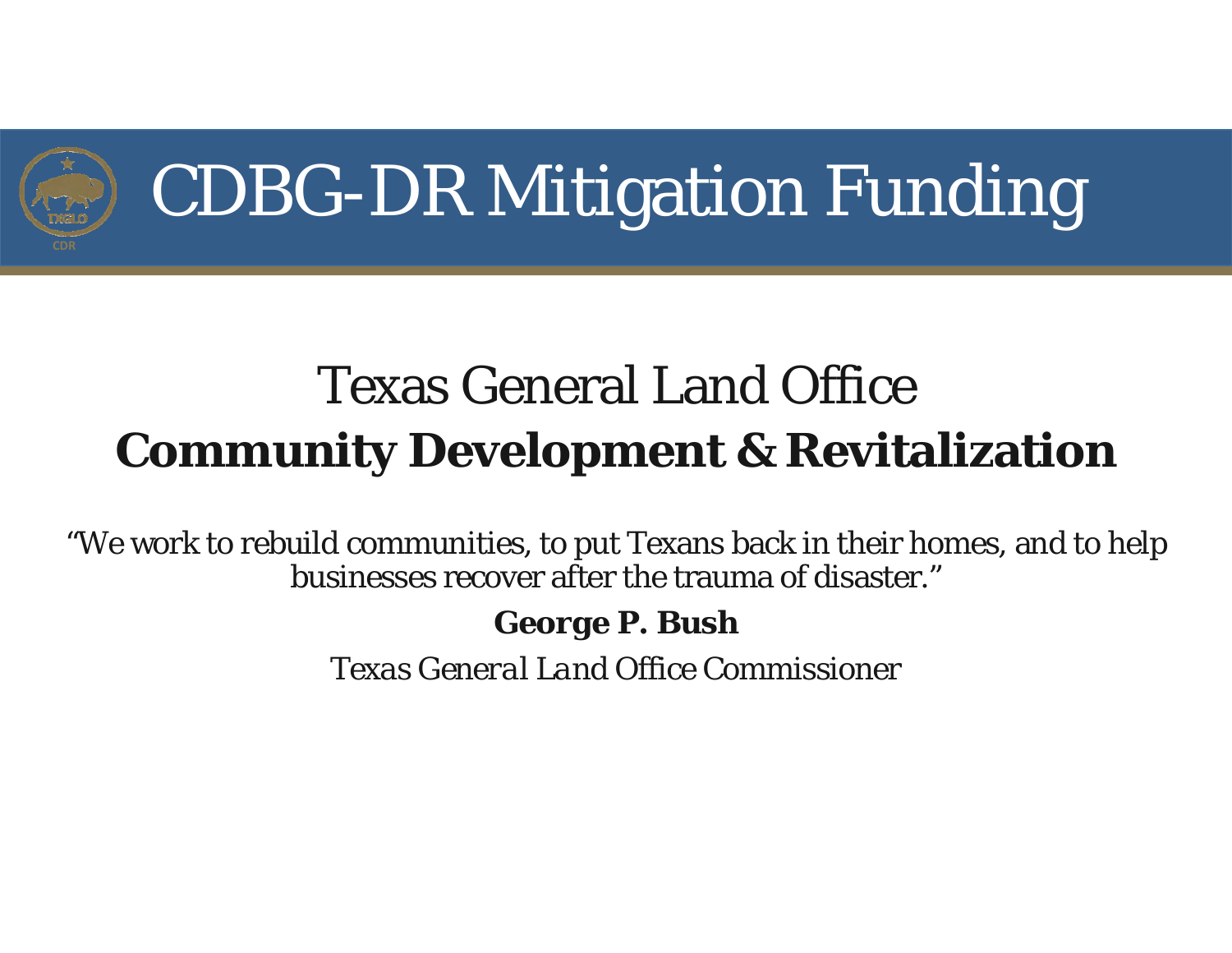

### Texas General Land Office**Community Development & Revitalization**

"We work to rebuild communities, to put Texans back in their homes, and to help businesses recover after the trauma of disaster."

*George P. Bush*

*Texas General Land Office Commissioner*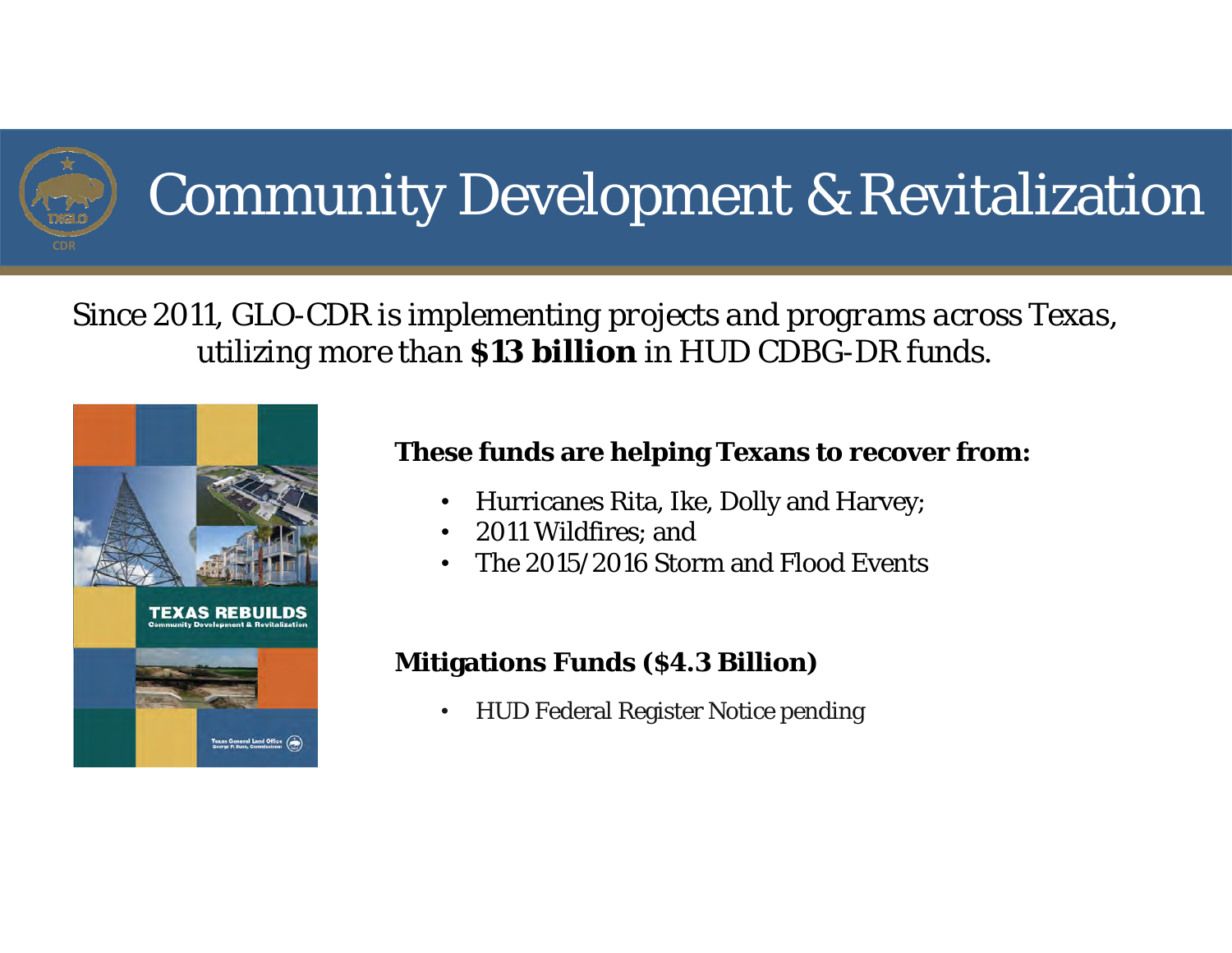

## Community Development & Revitalization

#### *Since 2011, GLO-CDR is implementing projects and programs across Texas, utilizing more than \$13 billion in HUD CDBG-DR funds.*



#### **These funds are helping Texans to recover from:**

- •Hurricanes Rita, Ike, Dolly and Harvey;
- •2011 Wildfires; and
- •The 2015/2016 Storm and Flood Events

#### **Mitigations Funds (\$4.3 Billion)**

•HUD Federal Register Notice pending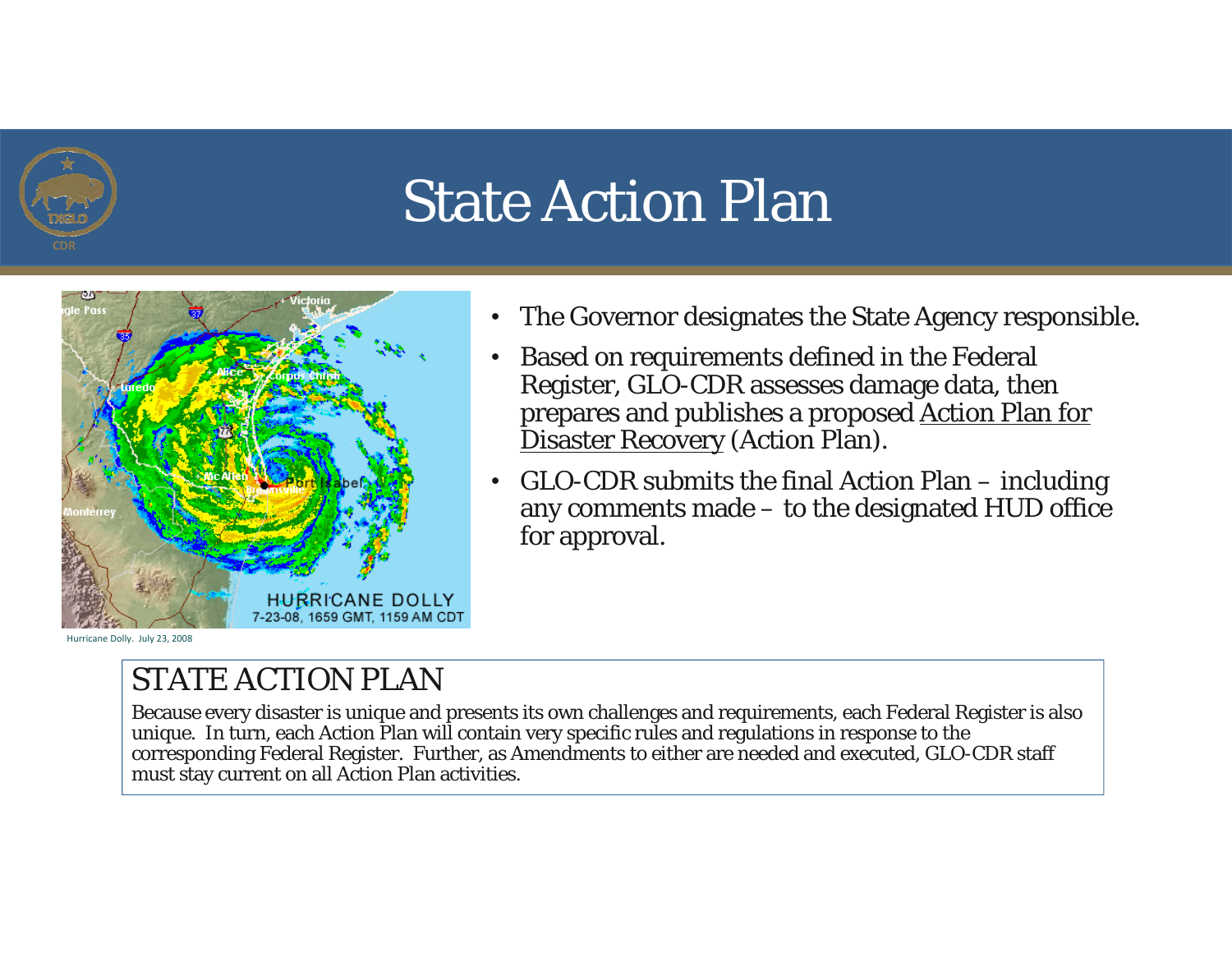

## State Action Plan



Hurricane Dolly. July 23, 2008

- $\bullet$ The Governor designates the State Agency responsible.
- • Based on requirements defined in the Federal Register, GLO-CDR assesses damage data, then prepares and publishes a proposed Action Plan for Disaster Recovery (Action Plan).
- • GLO-CDR submits the final Action Plan – including any comments made – to the designated HUD office for approval.

#### STATE ACTION PLAN

Because every disaster is unique and presents its own challenges and requirements, each Federal Register is also unique. In turn, each Action Plan will contain very specific rules and regulations in response to the corresponding Federal Register. Further, as Amendments to either are needed and executed, GLO-CDR staff must stay current on all Action Plan activities.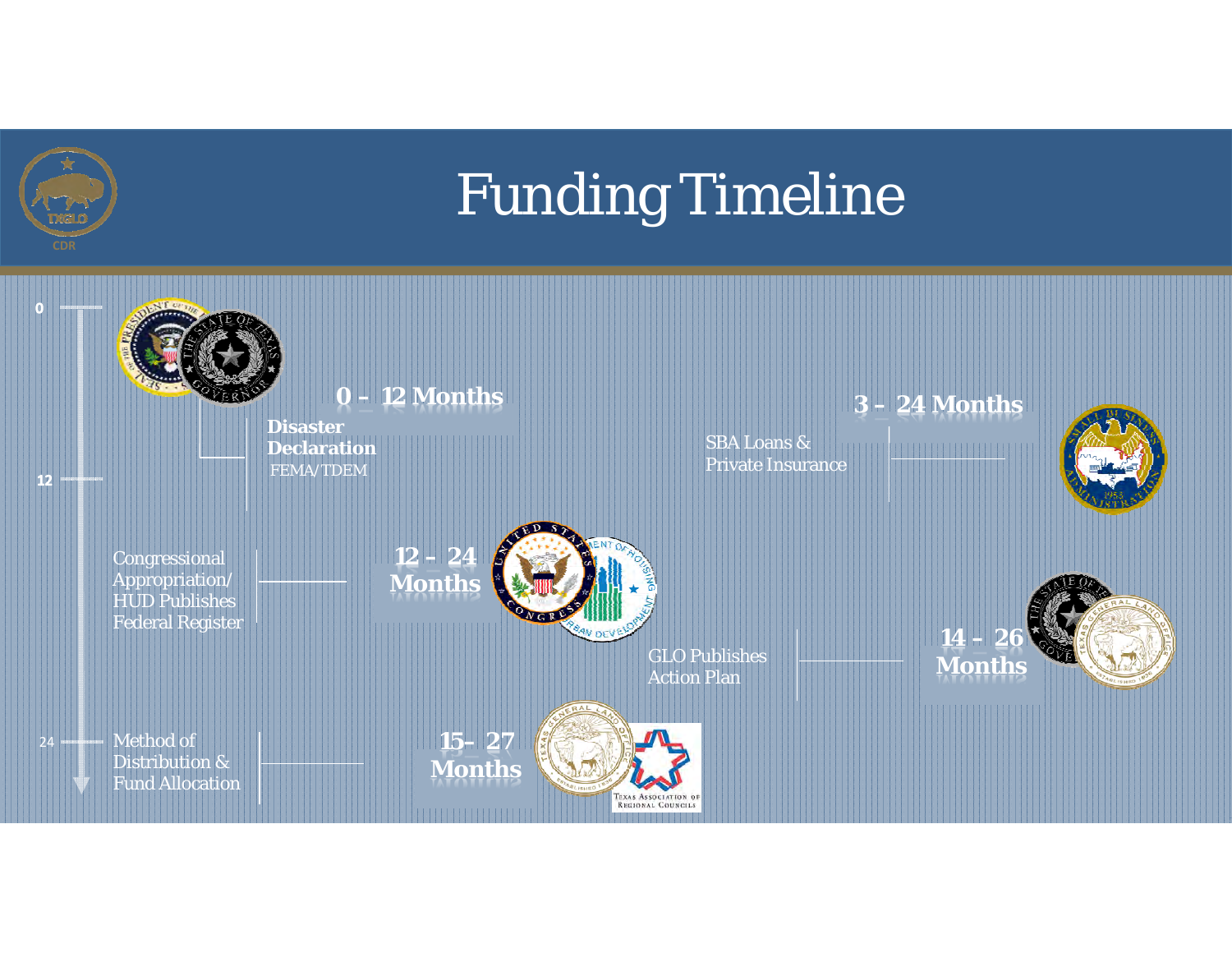## Funding Timeline

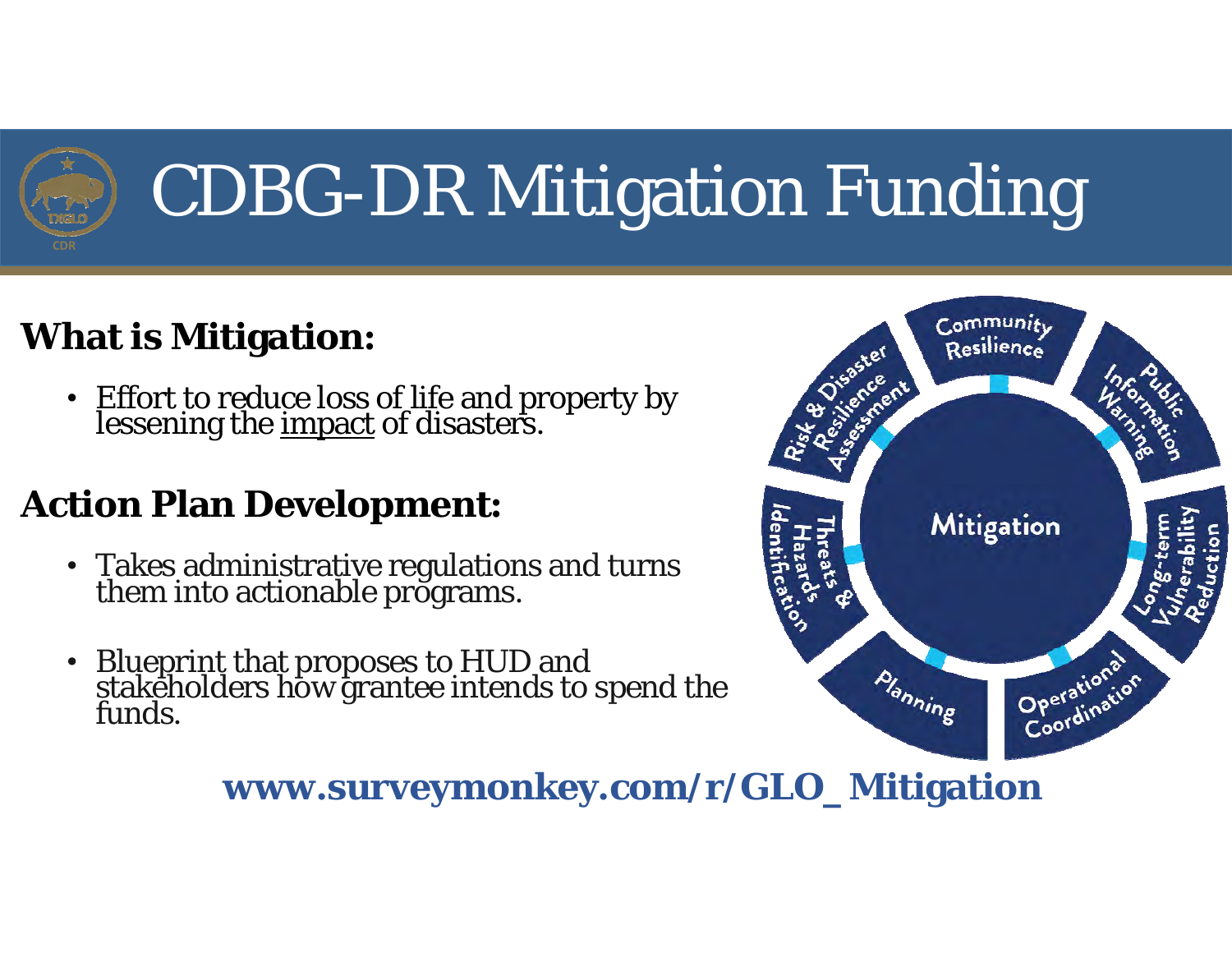

### **What is Mitigation:**

• Effort to reduce loss of life and property by<br>lessening the <u>impact</u> of disasters.

### **Action Plan Development:**

- Takes administrative regulations and turns them into actionable programs.
- •• Blueprint that proposes to HUD and<br>stakeholders how grantee intends to spend the<br>funds.



### **www.surveymonkey.com/r/GLO\_Mitigation**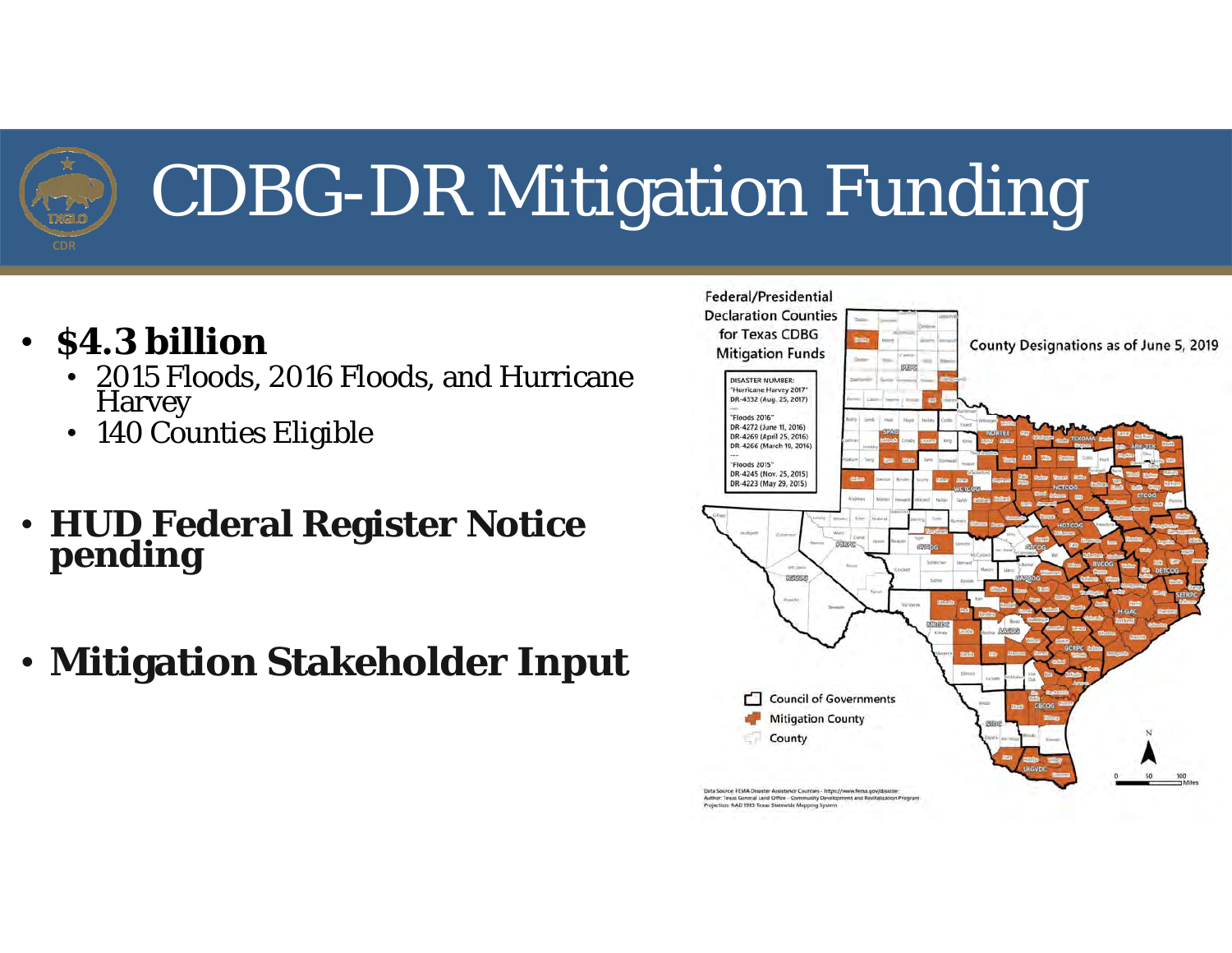

- **\$4.3 billion**
	- 2015 Floods, 2016 Floods, and Hurricane Harvey
	- $\bullet$ 140 Counties Eligible
- **HUD Federal Register Notice pending**
- **Mitigation Stakeholder Input**

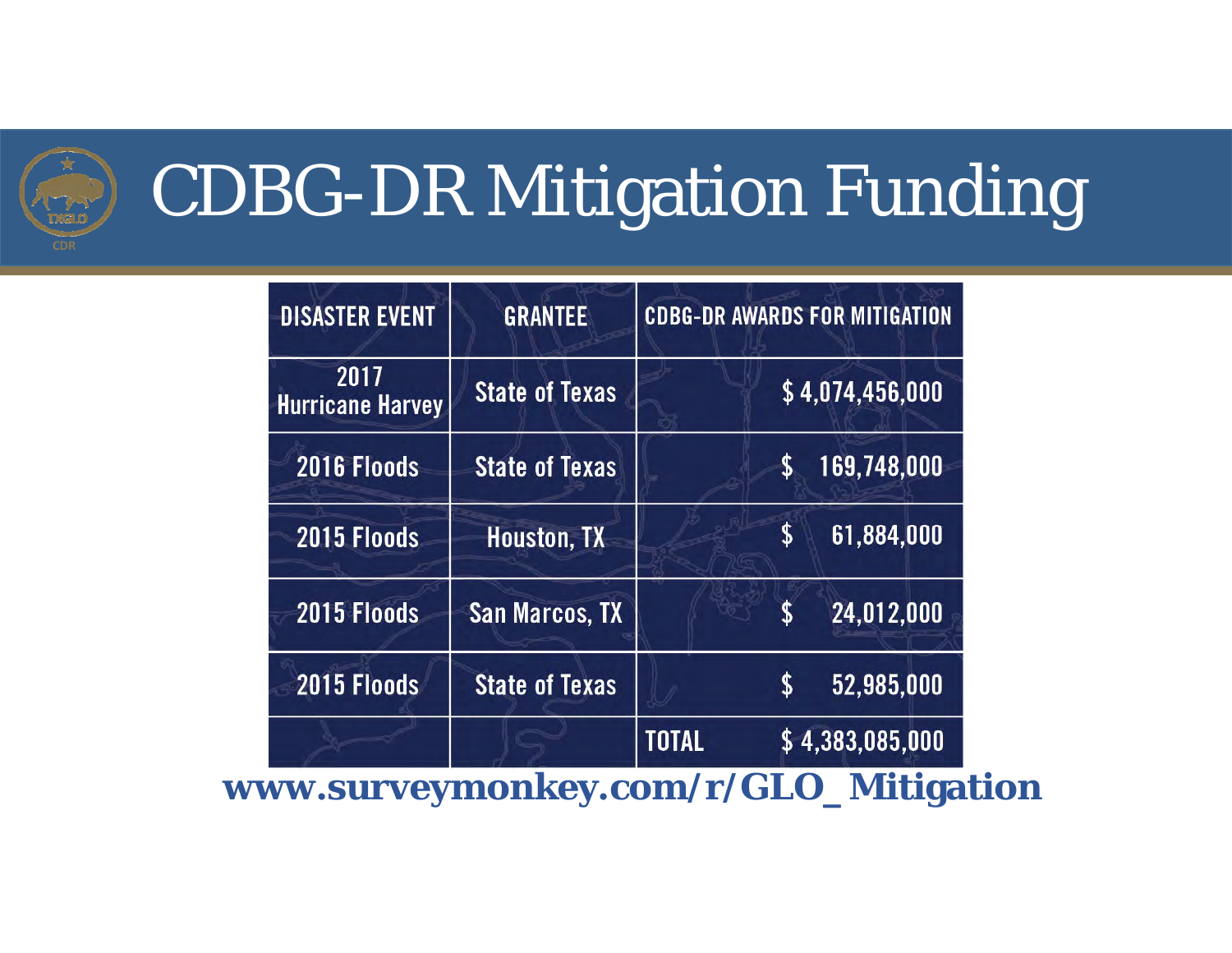

| <b>DISASTER EVENT</b>           | <b>GRANTEE</b>        | <b>CDBG-DR AWARDS FOR MITIGATION</b> |                         |
|---------------------------------|-----------------------|--------------------------------------|-------------------------|
| 2017<br><b>Hurricane Harvey</b> | <b>State of Texas</b> |                                      | \$4,074,456,000         |
| 2016 Floods                     | <b>State of Texas</b> |                                      | 169,748,000             |
| 2015 Floods                     | <b>Houston, TX</b>    |                                      | 61.884.000<br>S         |
| 2015 Floods                     | <b>San Marcos, TX</b> |                                      | 24,012,000<br>${\bf S}$ |
| 2015 Floods                     | <b>State of Texas</b> |                                      | 52.985.000              |
|                                 |                       | <b>TOTAL</b>                         | \$4,383,085,000         |

**www.surveymonkey.com/r/GLO\_Mitigation**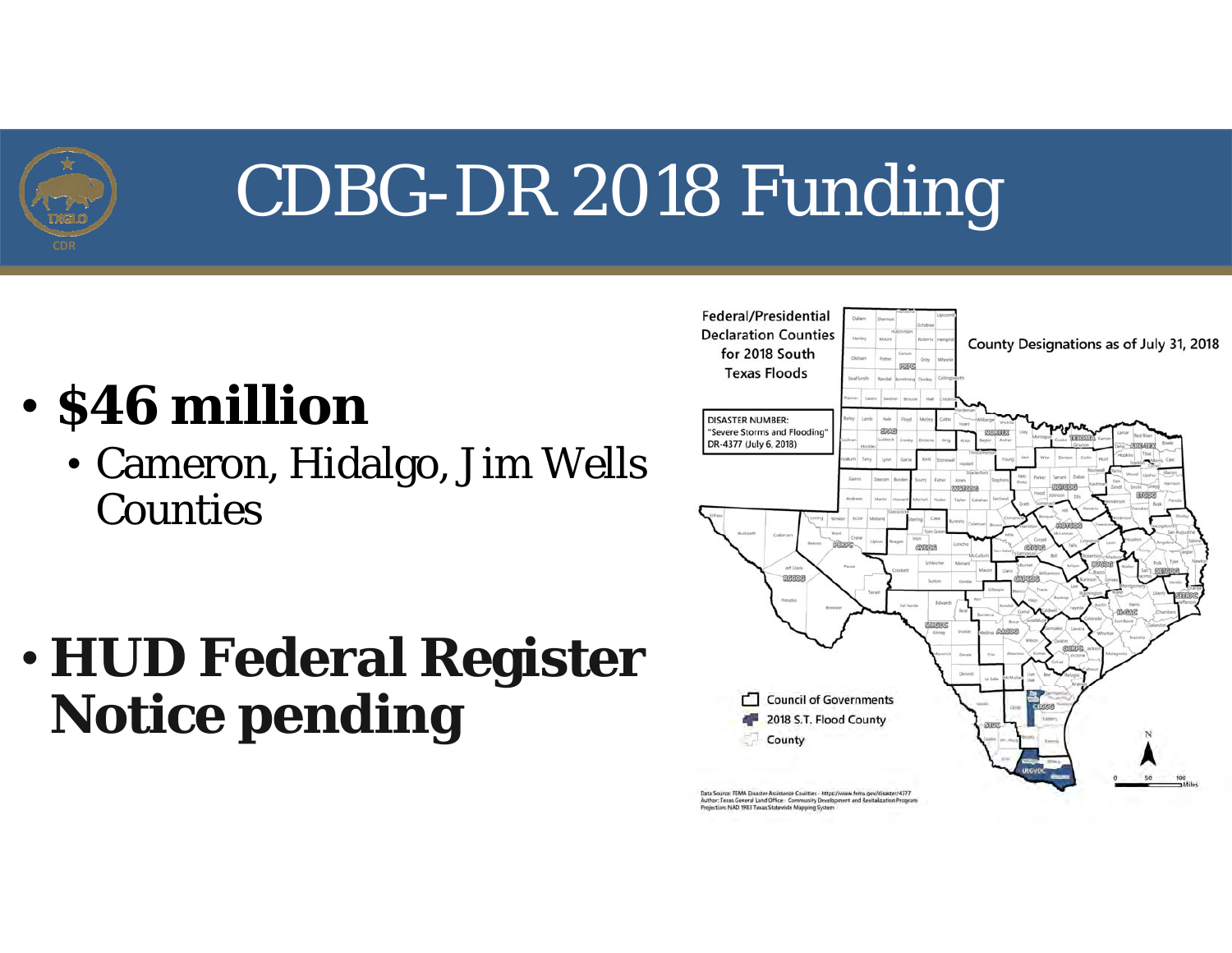

## CDBG-DR 2018 Funding

#### •**\$46 million**

• Cameron, Hidalgo, Jim Wells Counties

### • **HUD Federal Register Notice pending**